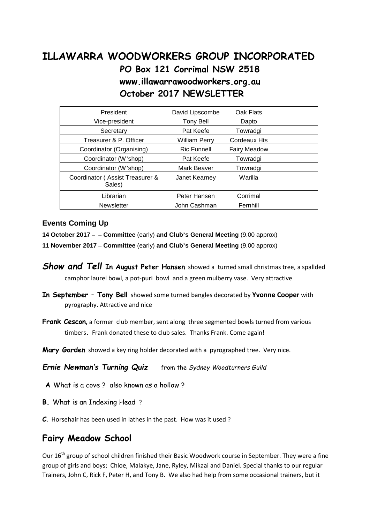# **ILLAWARRA WOODWORKERS GROUP INCORPORATED PO Box 121 Corrimal NSW 2518 www.illawarrawoodworkers.org.au October 2017 NEWSLETTER**

| President                                 | David Lipscombe      | Oak Flats    |  |
|-------------------------------------------|----------------------|--------------|--|
| Vice-president                            | <b>Tony Bell</b>     | Dapto        |  |
| Secretary                                 | Pat Keefe            | Towradgi     |  |
| Treasurer & P. Officer                    | <b>William Perry</b> | Cordeaux Hts |  |
| Coordinator (Organising)                  | <b>Ric Funnell</b>   | Fairy Meadow |  |
| Coordinator (W'shop)                      | Pat Keefe            | Towradgi     |  |
| Coordinator (W'shop)                      | Mark Beaver          | Towradgi     |  |
| Coordinator (Assist Treasurer &<br>Sales) | Janet Kearney        | Warilla      |  |
| Librarian                                 | Peter Hansen         | Corrimal     |  |
| <b>Newsletter</b>                         | John Cashman         | Fernhill     |  |

#### **Events Coming Up**

**14 October 2017 – – Committee** (early) **and Club's General Meeting** (9.00 approx)

- **11 November 2017 – Committee** (early) **and Club's General Meeting** (9.00 approx)
- *Show and Tell* **In August Peter Hansen** showed a turned small christmas tree, a spallded camphor laurel bowl, a pot-puri bowl and a green mulberry vase. Very attractive
- **In September – Tony Bell** showed some turned bangles decorated by **Yvonne Cooper** with pyrography. Attractive and nice
- **Frank Cescon,** a former club member, sent along three segmented bowls turned from various timbers**.** Frank donated these to club sales. Thanks Frank. Come again!

**Mary Garden** showed a key ring holder decorated with a pyrographed tree. Very nice.

*Ernie Newman's Turning Quiz* from the *Sydney Woodturners Guild*

**A** What is a cove ? also known as a hollow ?

- **B.** What is an Indexing Head ?
- **C**. Horsehair has been used in lathes in the past. How was it used ?

### **Fairy Meadow School**

Our 16<sup>th</sup> group of school children finished their Basic Woodwork course in September. They were a fine group of girls and boys; Chloe, Malakye, Jane, Ryley, Mikaai and Daniel. Special thanks to our regular Trainers, John C, Rick F, Peter H, and Tony B. We also had help from some occasional trainers, but it